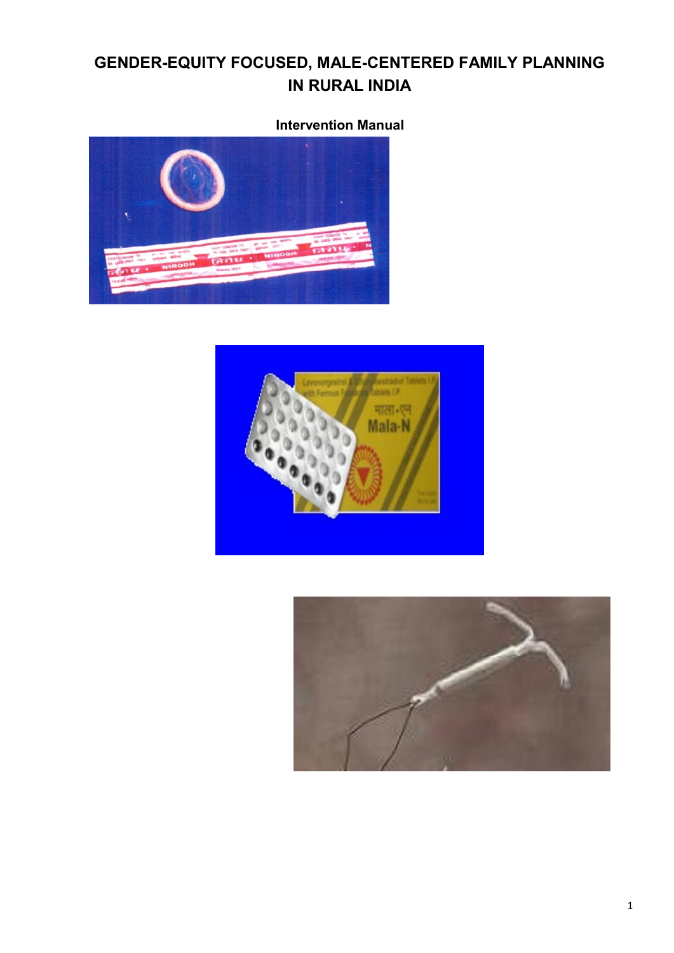# **GENDER-EQUITY FOCUSED, MALE-CENTERED FAMILY PLANNING IN RURAL INDIA**

# **Intervention Manual**





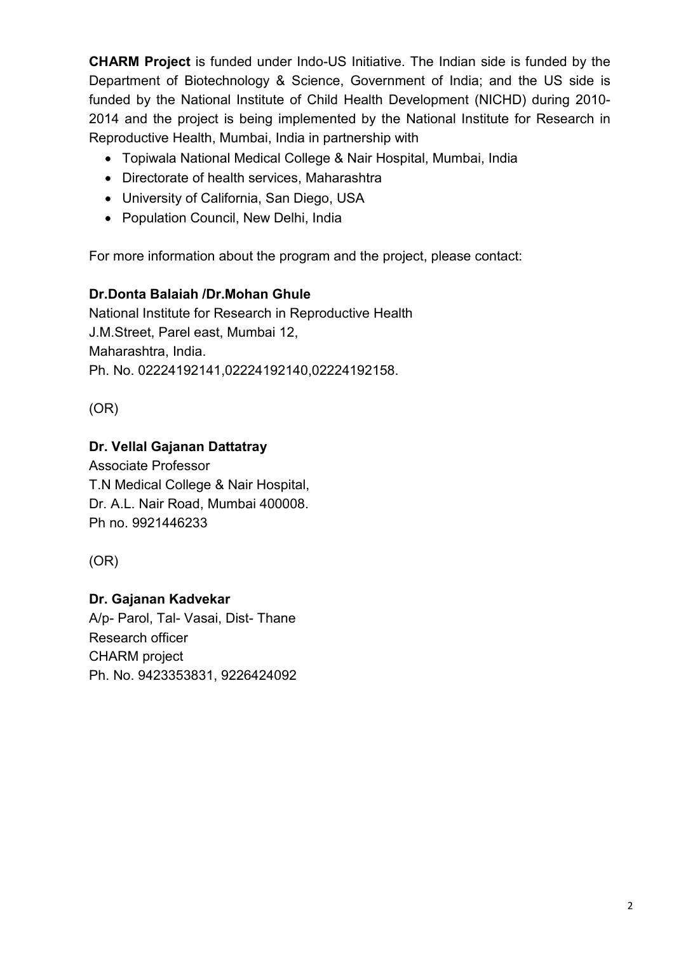**CHARM Project** is funded under Indo-US Initiative. The Indian side is funded by the Department of Biotechnology & Science, Government of India; and the US side is funded by the National Institute of Child Health Development (NICHD) during 2010- 2014 and the project is being implemented by the National Institute for Research in Reproductive Health, Mumbai, India in partnership with

- Topiwala National Medical College & Nair Hospital, Mumbai, India
- Directorate of health services, Maharashtra
- University of California, San Diego, USA
- Population Council, New Delhi, India

For more information about the program and the project, please contact:

## **Dr.Donta Balaiah /Dr.Mohan Ghule**

National Institute for Research in Reproductive Health J.M.Street, Parel east, Mumbai 12, Maharashtra, India. Ph. No. 02224192141,02224192140,02224192158.

(OR)

## **Dr. Vellal Gajanan Dattatray**

Associate Professor T.N Medical College & Nair Hospital, Dr. A.L. Nair Road, Mumbai 400008. Ph no. 9921446233

(OR)

## **Dr. Gajanan Kadvekar**

A/p- Parol, Tal- Vasai, Dist- Thane Research officer CHARM project Ph. No. 9423353831, 9226424092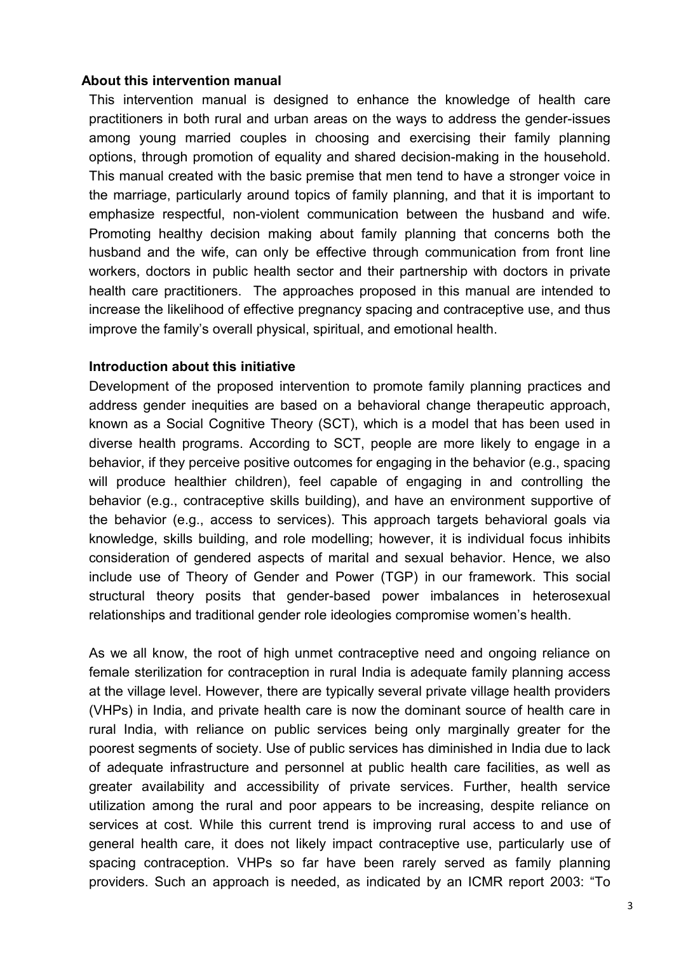#### **About this intervention manual**

This intervention manual is designed to enhance the knowledge of health care practitioners in both rural and urban areas on the ways to address the gender-issues among young married couples in choosing and exercising their family planning options, through promotion of equality and shared decision-making in the household. This manual created with the basic premise that men tend to have a stronger voice in the marriage, particularly around topics of family planning, and that it is important to emphasize respectful, non-violent communication between the husband and wife. Promoting healthy decision making about family planning that concerns both the husband and the wife, can only be effective through communication from front line workers, doctors in public health sector and their partnership with doctors in private health care practitioners. The approaches proposed in this manual are intended to increase the likelihood of effective pregnancy spacing and contraceptive use, and thus improve the family's overall physical, spiritual, and emotional health.

#### **Introduction about this initiative**

Development of the proposed intervention to promote family planning practices and address gender inequities are based on a behavioral change therapeutic approach, known as a Social Cognitive Theory (SCT), which is a model that has been used in diverse health programs. According to SCT, people are more likely to engage in a behavior, if they perceive positive outcomes for engaging in the behavior (e.g., spacing will produce healthier children), feel capable of engaging in and controlling the behavior (e.g., contraceptive skills building), and have an environment supportive of the behavior (e.g., access to services). This approach targets behavioral goals via knowledge, skills building, and role modelling; however, it is individual focus inhibits consideration of gendered aspects of marital and sexual behavior. Hence, we also include use of Theory of Gender and Power (TGP) in our framework. This social structural theory posits that gender-based power imbalances in heterosexual relationships and traditional gender role ideologies compromise women's health.

As we all know, the root of high unmet contraceptive need and ongoing reliance on female sterilization for contraception in rural India is adequate family planning access at the village level. However, there are typically several private village health providers (VHPs) in India, and private health care is now the dominant source of health care in rural India, with reliance on public services being only marginally greater for the poorest segments of society. Use of public services has diminished in India due to lack of adequate infrastructure and personnel at public health care facilities, as well as greater availability and accessibility of private services. Further, health service utilization among the rural and poor appears to be increasing, despite reliance on services at cost. While this current trend is improving rural access to and use of general health care, it does not likely impact contraceptive use, particularly use of spacing contraception. VHPs so far have been rarely served as family planning providers. Such an approach is needed, as indicated by an ICMR report 2003: "To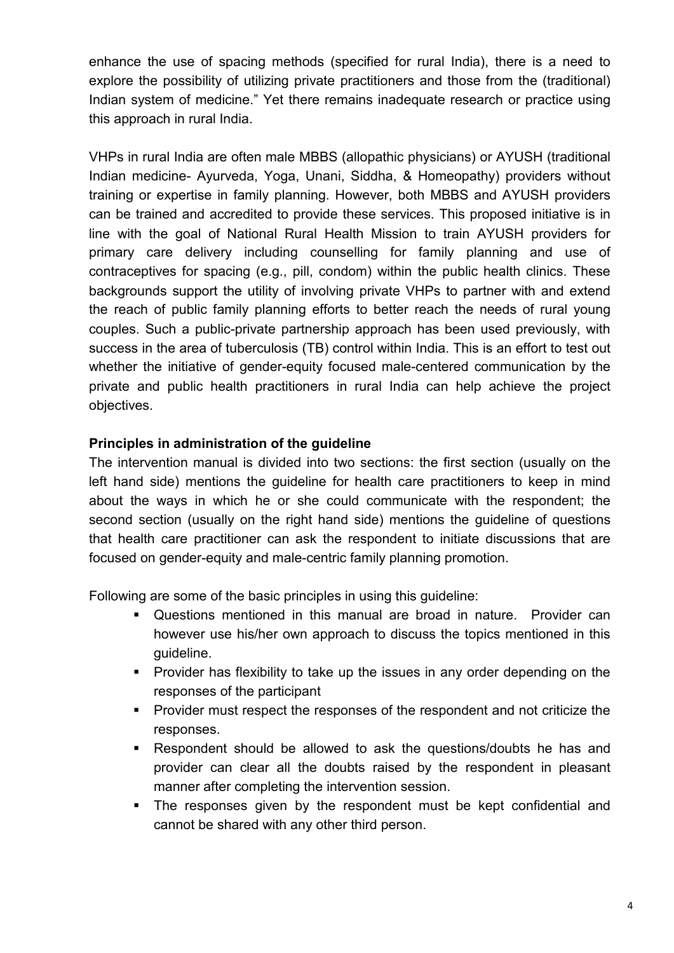enhance the use of spacing methods (specified for rural India), there is a need to explore the possibility of utilizing private practitioners and those from the (traditional) Indian system of medicine." Yet there remains inadequate research or practice using this approach in rural India.

VHPs in rural India are often male MBBS (allopathic physicians) or AYUSH (traditional Indian medicine- Ayurveda, Yoga, Unani, Siddha, & Homeopathy) providers without training or expertise in family planning. However, both MBBS and AYUSH providers can be trained and accredited to provide these services. This proposed initiative is in line with the goal of National Rural Health Mission to train AYUSH providers for primary care delivery including counselling for family planning and use of contraceptives for spacing (e.g., pill, condom) within the public health clinics. These backgrounds support the utility of involving private VHPs to partner with and extend the reach of public family planning efforts to better reach the needs of rural young couples. Such a public-private partnership approach has been used previously, with success in the area of tuberculosis (TB) control within India. This is an effort to test out whether the initiative of gender-equity focused male-centered communication by the private and public health practitioners in rural India can help achieve the project objectives.

#### **Principles in administration of the guideline**

The intervention manual is divided into two sections: the first section (usually on the left hand side) mentions the guideline for health care practitioners to keep in mind about the ways in which he or she could communicate with the respondent; the second section (usually on the right hand side) mentions the guideline of questions that health care practitioner can ask the respondent to initiate discussions that are focused on gender-equity and male-centric family planning promotion.

Following are some of the basic principles in using this guideline:

- Questions mentioned in this manual are broad in nature. Provider can however use his/her own approach to discuss the topics mentioned in this guideline.
- **Provider has flexibility to take up the issues in any order depending on the** responses of the participant
- **Provider must respect the responses of the respondent and not criticize the** responses.
- Respondent should be allowed to ask the questions/doubts he has and provider can clear all the doubts raised by the respondent in pleasant manner after completing the intervention session.
- The responses given by the respondent must be kept confidential and cannot be shared with any other third person.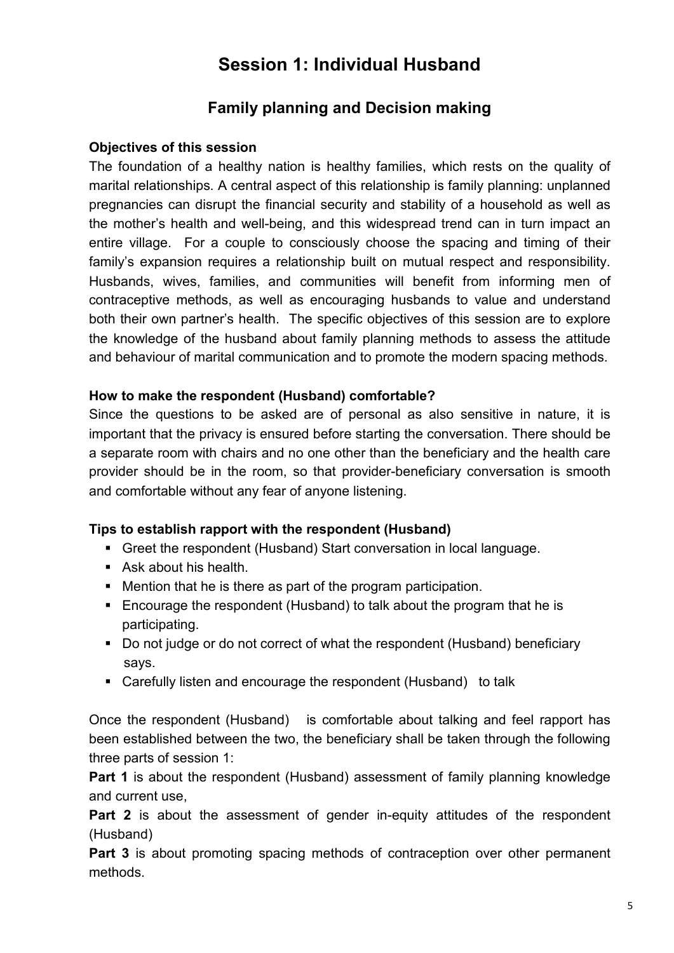# **Session 1: Individual Husband**

# **Family planning and Decision making**

### **Objectives of this session**

The foundation of a healthy nation is healthy families, which rests on the quality of marital relationships. A central aspect of this relationship is family planning: unplanned pregnancies can disrupt the financial security and stability of a household as well as the mother's health and well-being, and this widespread trend can in turn impact an entire village. For a couple to consciously choose the spacing and timing of their family's expansion requires a relationship built on mutual respect and responsibility. Husbands, wives, families, and communities will benefit from informing men of contraceptive methods, as well as encouraging husbands to value and understand both their own partner's health. The specific objectives of this session are to explore the knowledge of the husband about family planning methods to assess the attitude and behaviour of marital communication and to promote the modern spacing methods.

### **How to make the respondent (Husband) comfortable?**

Since the questions to be asked are of personal as also sensitive in nature, it is important that the privacy is ensured before starting the conversation. There should be a separate room with chairs and no one other than the beneficiary and the health care provider should be in the room, so that provider-beneficiary conversation is smooth and comfortable without any fear of anyone listening.

#### **Tips to establish rapport with the respondent (Husband)**

- Greet the respondent (Husband) Start conversation in local language.
- Ask about his health.
- Mention that he is there as part of the program participation.
- Encourage the respondent (Husband) to talk about the program that he is participating.
- Do not judge or do not correct of what the respondent (Husband) beneficiary says.
- Carefully listen and encourage the respondent (Husband) to talk

Once the respondent (Husband) is comfortable about talking and feel rapport has been established between the two, the beneficiary shall be taken through the following three parts of session 1:

**Part 1** is about the respondent (Husband) assessment of family planning knowledge and current use,

**Part 2** is about the assessment of gender in-equity attitudes of the respondent (Husband)

**Part 3** is about promoting spacing methods of contraception over other permanent methods.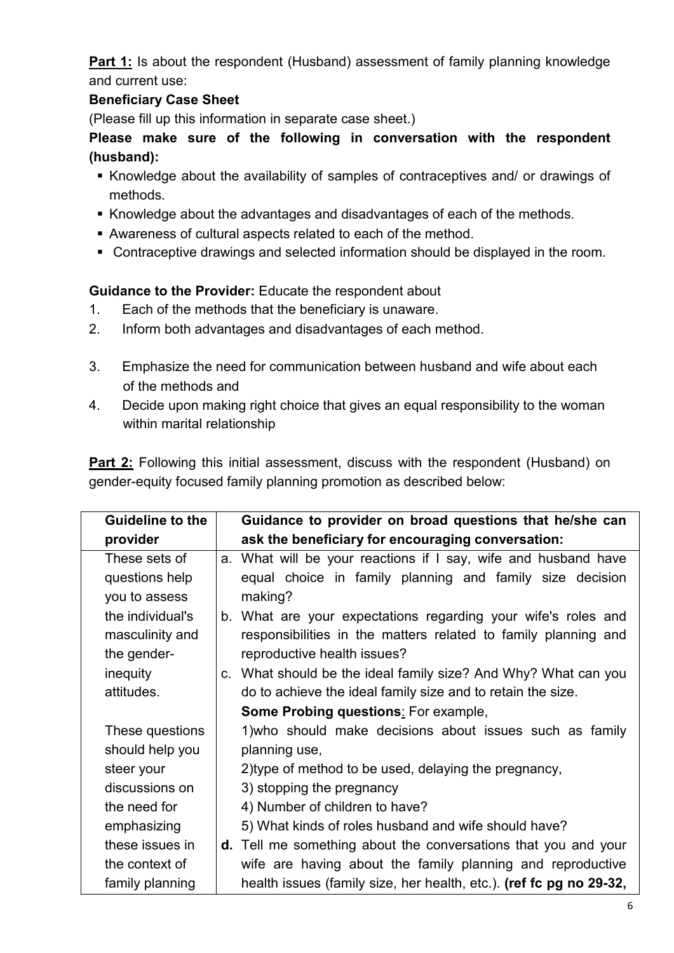**Part 1:** Is about the respondent (Husband) assessment of family planning knowledge and current use:

## **Beneficiary Case Sheet**

(Please fill up this information in separate case sheet.)

**Please make sure of the following in conversation with the respondent (husband):** 

- Knowledge about the availability of samples of contraceptives and/ or drawings of methods.
- Knowledge about the advantages and disadvantages of each of the methods.
- Awareness of cultural aspects related to each of the method.
- Contraceptive drawings and selected information should be displayed in the room.

**Guidance to the Provider:** Educate the respondent about

- 1. Each of the methods that the beneficiary is unaware.
- 2. Inform both advantages and disadvantages of each method.
- 3. Emphasize the need for communication between husband and wife about each of the methods and
- 4. Decide upon making right choice that gives an equal responsibility to the woman within marital relationship

**Part 2:** Following this initial assessment, discuss with the respondent (Husband) on gender-equity focused family planning promotion as described below:

| <b>Guideline to the</b> | Guidance to provider on broad questions that he/she can               |
|-------------------------|-----------------------------------------------------------------------|
| provider                | ask the beneficiary for encouraging conversation:                     |
| These sets of           | a. What will be your reactions if I say, wife and husband have        |
| questions help          | equal choice in family planning and family size decision              |
| you to assess           | making?                                                               |
| the individual's        | b. What are your expectations regarding your wife's roles and         |
| masculinity and         | responsibilities in the matters related to family planning and        |
| the gender-             | reproductive health issues?                                           |
| inequity                | c. What should be the ideal family size? And Why? What can you        |
| attitudes.              | do to achieve the ideal family size and to retain the size.           |
|                         | <b>Some Probing questions: For example,</b>                           |
| These questions         | 1) who should make decisions about issues such as family              |
| should help you         | planning use,                                                         |
| steer your              | 2) type of method to be used, delaying the pregnancy,                 |
| discussions on          | 3) stopping the pregnancy                                             |
| the need for            | 4) Number of children to have?                                        |
| emphasizing             | 5) What kinds of roles husband and wife should have?                  |
| these issues in         | <b>d.</b> Tell me something about the conversations that you and your |
| the context of          | wife are having about the family planning and reproductive            |
| family planning         | health issues (family size, her health, etc.). (ref fc pg no 29-32,   |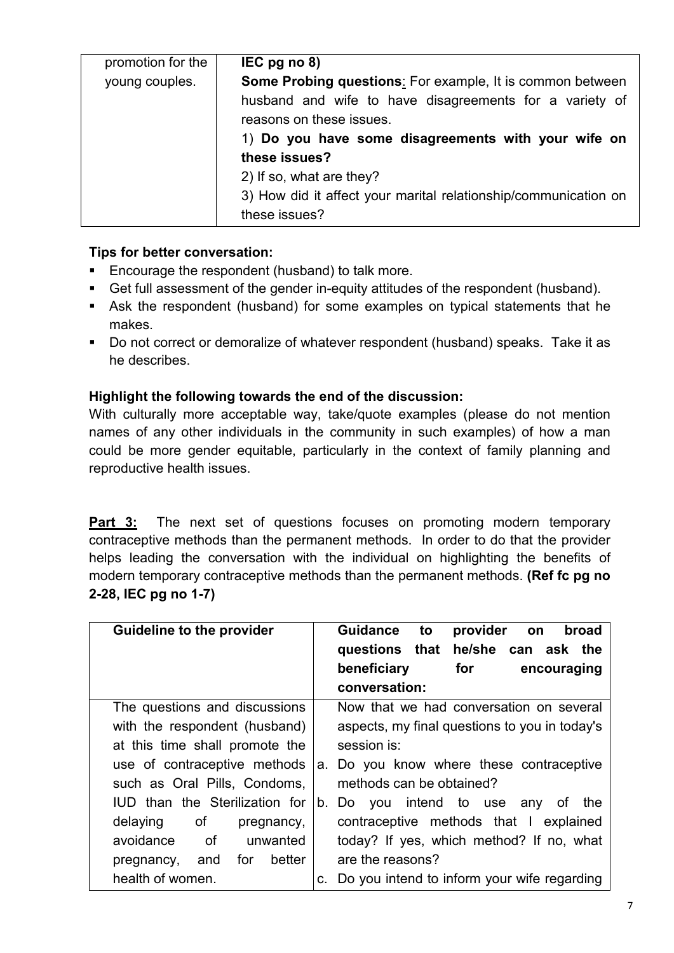| promotion for the | $IEC$ pg no 8)                                                                      |
|-------------------|-------------------------------------------------------------------------------------|
| young couples.    | <b>Some Probing questions:</b> For example, It is common between                    |
|                   | husband and wife to have disagreements for a variety of<br>reasons on these issues. |
|                   | 1) Do you have some disagreements with your wife on                                 |
|                   | these issues?                                                                       |
|                   | 2) If so, what are they?                                                            |
|                   | 3) How did it affect your marital relationship/communication on                     |
|                   | these issues?                                                                       |

#### **Tips for better conversation:**

- **Encourage the respondent (husband) to talk more.**
- Get full assessment of the gender in-equity attitudes of the respondent (husband).
- Ask the respondent (husband) for some examples on typical statements that he makes.
- Do not correct or demoralize of whatever respondent (husband) speaks. Take it as he describes.

### **Highlight the following towards the end of the discussion:**

With culturally more acceptable way, take/quote examples (please do not mention names of any other individuals in the community in such examples) of how a man could be more gender equitable, particularly in the context of family planning and reproductive health issues.

**Part 3:** The next set of questions focuses on promoting modern temporary contraceptive methods than the permanent methods. In order to do that the provider helps leading the conversation with the individual on highlighting the benefits of modern temporary contraceptive methods than the permanent methods. **(Ref fc pg no 2-28, IEC pg no 1-7)**

| <b>Guideline to the provider</b>      | provider<br><b>Guidance</b><br>to<br>broad<br>on<br>questions that he/she can ask the<br>for<br>beneficiary<br>encouraging |
|---------------------------------------|----------------------------------------------------------------------------------------------------------------------------|
|                                       | conversation:                                                                                                              |
| The questions and discussions         | Now that we had conversation on several                                                                                    |
| with the respondent (husband)         | aspects, my final questions to you in today's                                                                              |
| at this time shall promote the        | session is:                                                                                                                |
| use of contraceptive methods          | a. Do you know where these contraceptive                                                                                   |
| such as Oral Pills, Condoms,          | methods can be obtained?                                                                                                   |
| <b>IUD</b> than the Sterilization for | b. Do you intend to use any of<br>the                                                                                      |
| of<br>delaying<br>pregnancy,          | contraceptive methods that I explained                                                                                     |
| of<br>avoidance<br>unwanted           | today? If yes, which method? If no, what                                                                                   |
| for<br>better<br>pregnancy, and       | are the reasons?                                                                                                           |
| health of women.                      | Do you intend to inform your wife regarding<br>C.                                                                          |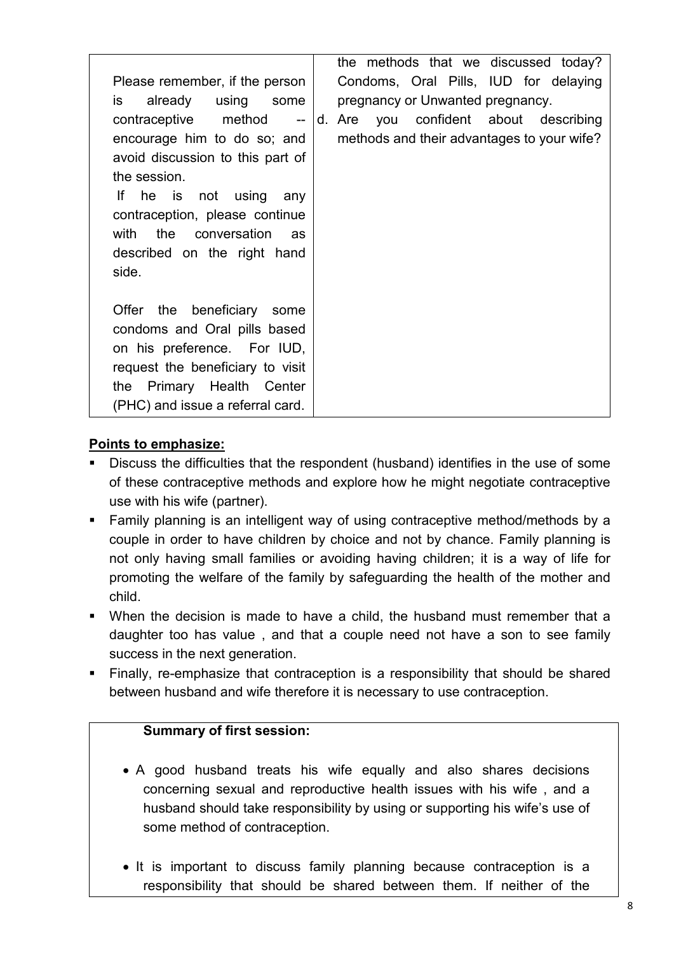| Please remember, if the person<br>already<br>using some<br>is l<br>contraceptive method<br>$\overline{\phantom{a}}$<br>encourage him to do so; and<br>avoid discussion to this part of<br>the session.<br>he is not using any<br>lf –<br>contraception, please continue<br>with<br>the conversation<br>as<br>described on the right hand<br>side. | the methods that we discussed today?<br>Condoms, Oral Pills, IUD for delaying<br>pregnancy or Unwanted pregnancy.<br>d. Are you confident about describing<br>methods and their advantages to your wife? |
|---------------------------------------------------------------------------------------------------------------------------------------------------------------------------------------------------------------------------------------------------------------------------------------------------------------------------------------------------|----------------------------------------------------------------------------------------------------------------------------------------------------------------------------------------------------------|
| Offer the beneficiary some<br>condoms and Oral pills based<br>on his preference. For IUD,<br>request the beneficiary to visit<br>Primary Health Center<br>the<br>(PHC) and issue a referral card.                                                                                                                                                 |                                                                                                                                                                                                          |

### **Points to emphasize:**

- Discuss the difficulties that the respondent (husband) identifies in the use of some of these contraceptive methods and explore how he might negotiate contraceptive use with his wife (partner).
- Family planning is an intelligent way of using contraceptive method/methods by a couple in order to have children by choice and not by chance. Family planning is not only having small families or avoiding having children; it is a way of life for promoting the welfare of the family by safeguarding the health of the mother and child.
- When the decision is made to have a child, the husband must remember that a daughter too has value , and that a couple need not have a son to see family success in the next generation.
- Finally, re-emphasize that contraception is a responsibility that should be shared between husband and wife therefore it is necessary to use contraception.

#### **Summary of first session:**

- A good husband treats his wife equally and also shares decisions concerning sexual and reproductive health issues with his wife , and a husband should take responsibility by using or supporting his wife's use of some method of contraception.
- It is important to discuss family planning because contraception is a responsibility that should be shared between them. If neither of the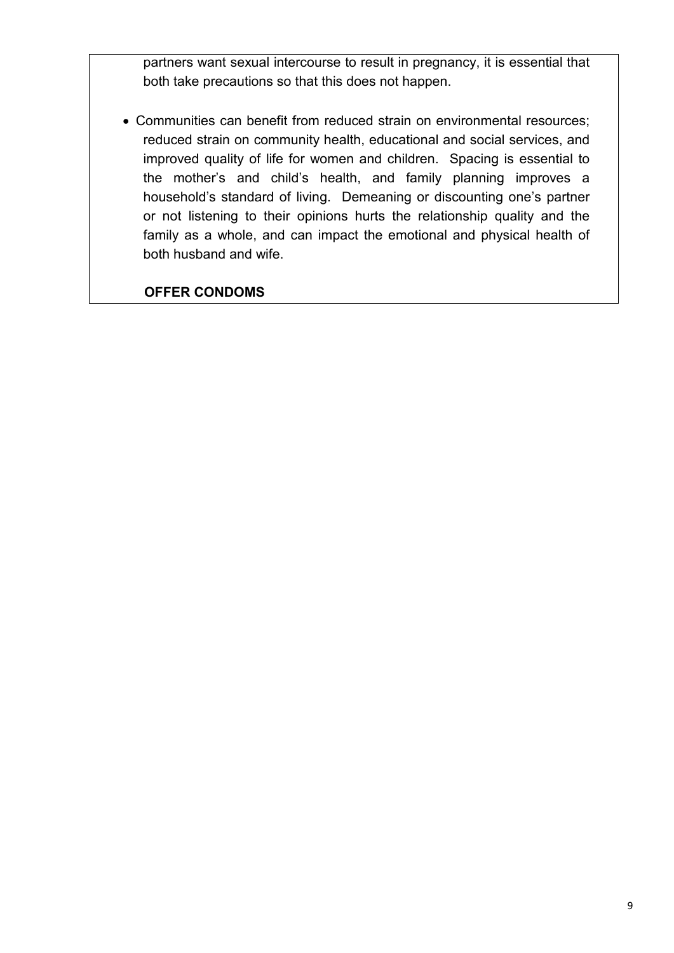partners want sexual intercourse to result in pregnancy, it is essential that both take precautions so that this does not happen.

• Communities can benefit from reduced strain on environmental resources; reduced strain on community health, educational and social services, and improved quality of life for women and children. Spacing is essential to the mother's and child's health, and family planning improves a household's standard of living. Demeaning or discounting one's partner or not listening to their opinions hurts the relationship quality and the family as a whole, and can impact the emotional and physical health of both husband and wife.

 **OFFER CONDOMS**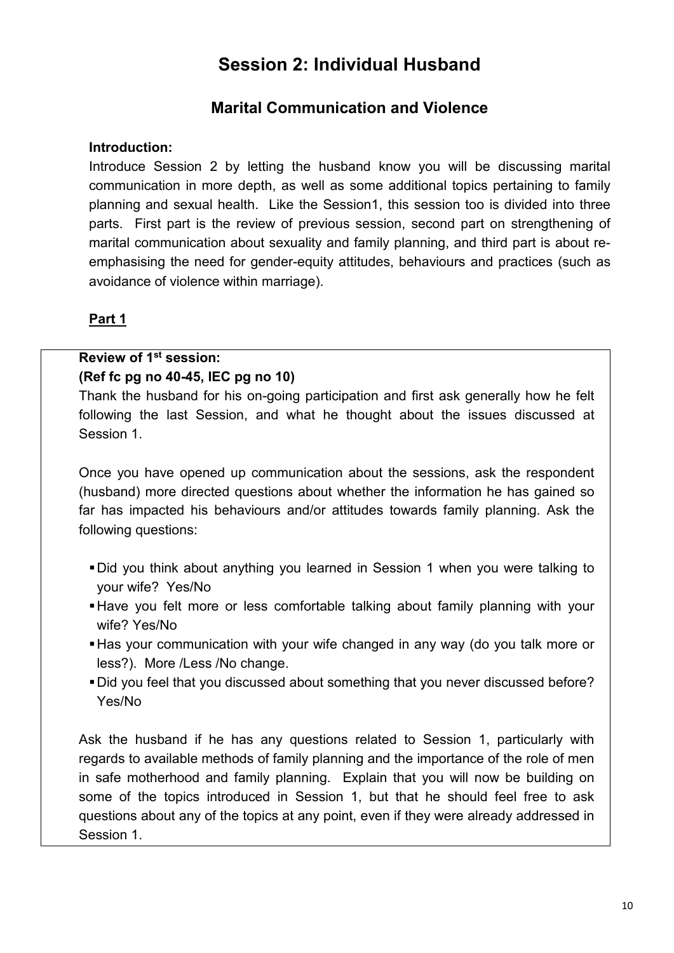# **Session 2: Individual Husband**

# **Marital Communication and Violence**

#### **Introduction:**

Introduce Session 2 by letting the husband know you will be discussing marital communication in more depth, as well as some additional topics pertaining to family planning and sexual health. Like the Session1, this session too is divided into three parts. First part is the review of previous session, second part on strengthening of marital communication about sexuality and family planning, and third part is about reemphasising the need for gender-equity attitudes, behaviours and practices (such as avoidance of violence within marriage).

### **Part 1**

### **Review of 1st session:**

#### **(Ref fc pg no 40-45, IEC pg no 10)**

Thank the husband for his on-going participation and first ask generally how he felt following the last Session, and what he thought about the issues discussed at Session 1.

Once you have opened up communication about the sessions, ask the respondent (husband) more directed questions about whether the information he has gained so far has impacted his behaviours and/or attitudes towards family planning. Ask the following questions:

- Did you think about anything you learned in Session 1 when you were talking to your wife? Yes/No
- Have you felt more or less comfortable talking about family planning with your wife? Yes/No
- Has your communication with your wife changed in any way (do you talk more or less?). More /Less /No change.
- Did you feel that you discussed about something that you never discussed before? Yes/No

Ask the husband if he has any questions related to Session 1, particularly with regards to available methods of family planning and the importance of the role of men in safe motherhood and family planning. Explain that you will now be building on some of the topics introduced in Session 1, but that he should feel free to ask questions about any of the topics at any point, even if they were already addressed in Session 1.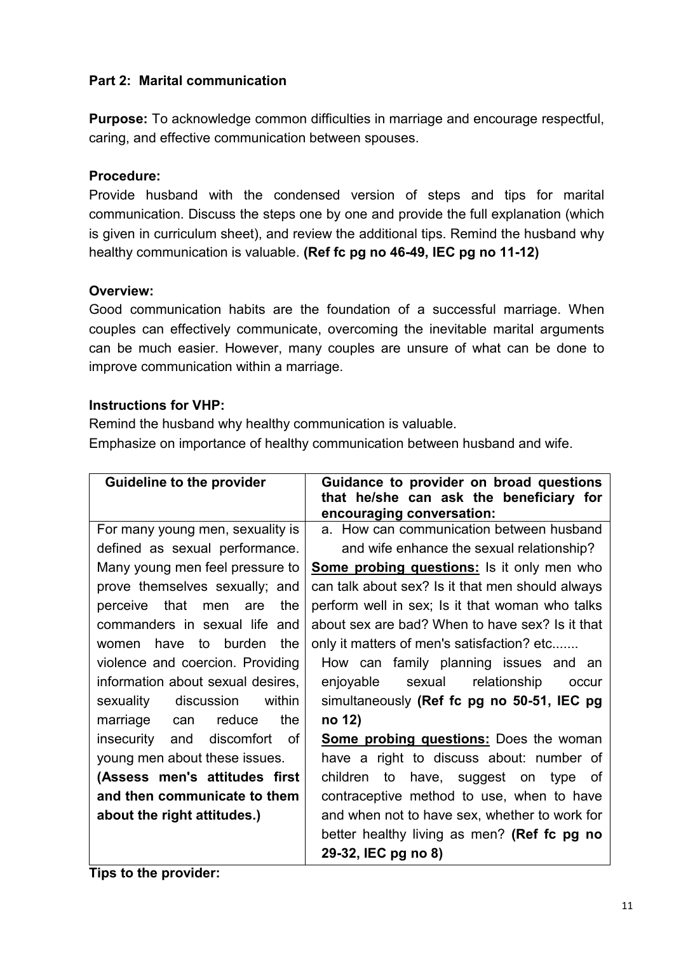### **Part 2: Marital communication**

**Purpose:** To acknowledge common difficulties in marriage and encourage respectful, caring, and effective communication between spouses.

#### **Procedure:**

Provide husband with the condensed version of steps and tips for marital communication. Discuss the steps one by one and provide the full explanation (which is given in curriculum sheet), and review the additional tips. Remind the husband why healthy communication is valuable. **(Ref fc pg no 46-49, IEC pg no 11-12)**

#### **Overview:**

Good communication habits are the foundation of a successful marriage. When couples can effectively communicate, overcoming the inevitable marital arguments can be much easier. However, many couples are unsure of what can be done to improve communication within a marriage.

#### **Instructions for VHP:**

Remind the husband why healthy communication is valuable. Emphasize on importance of healthy communication between husband and wife.

| <b>Guideline to the provider</b>  | Guidance to provider on broad questions<br>that he/she can ask the beneficiary for |
|-----------------------------------|------------------------------------------------------------------------------------|
|                                   | encouraging conversation:                                                          |
| For many young men, sexuality is  | a. How can communication between husband                                           |
| defined as sexual performance.    | and wife enhance the sexual relationship?                                          |
| Many young men feel pressure to   | <b>Some probing questions:</b> Is it only men who                                  |
| prove themselves sexually; and    | can talk about sex? Is it that men should always                                   |
| perceive that men are<br>the      | perform well in sex; Is it that woman who talks                                    |
| commanders in sexual life and     | about sex are bad? When to have sex? Is it that                                    |
| women have to burden<br>the       | only it matters of men's satisfaction? etc                                         |
| violence and coercion. Providing  | How can family planning issues and an                                              |
| information about sexual desires, | enjoyable sexual relationship<br>occur                                             |
| sexuality discussion within       | simultaneously (Ref fc pg no 50-51, IEC pg                                         |
| the<br>marriage can<br>reduce     | no 12)                                                                             |
| insecurity and discomfort of      | <b>Some probing questions:</b> Does the woman                                      |
| young men about these issues.     | have a right to discuss about: number of                                           |
| (Assess men's attitudes first     | children<br>to have, suggest on type of                                            |
| and then communicate to them      | contraceptive method to use, when to have                                          |
| about the right attitudes.)       | and when not to have sex, whether to work for                                      |
|                                   | better healthy living as men? (Ref fc pg no                                        |
|                                   | 29-32, IEC pg no 8)                                                                |

**Tips to the provider:**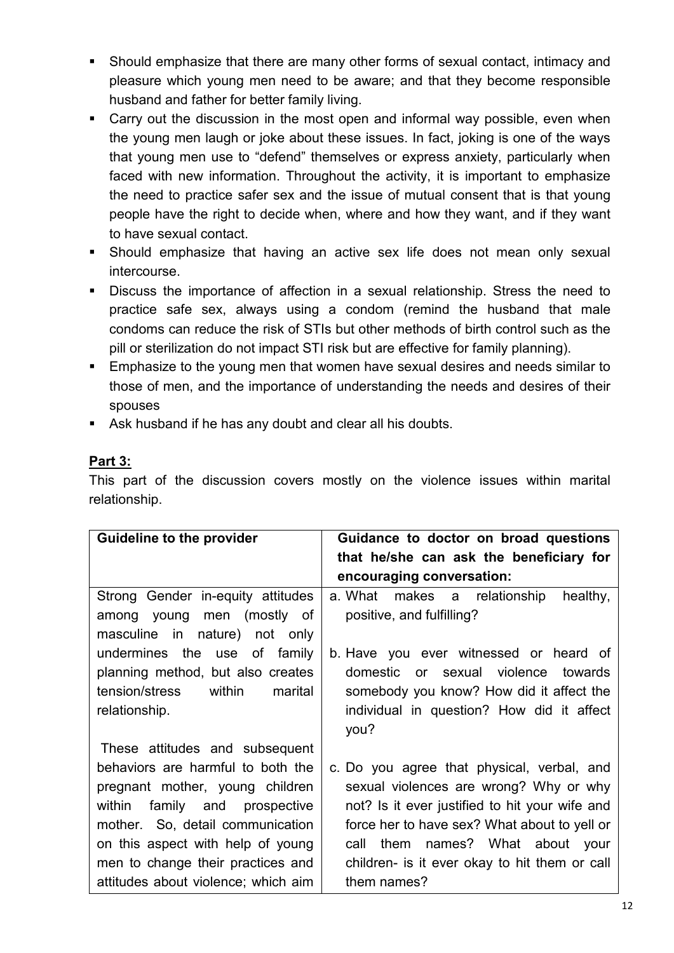- Should emphasize that there are many other forms of sexual contact, intimacy and pleasure which young men need to be aware; and that they become responsible husband and father for better family living.
- Carry out the discussion in the most open and informal way possible, even when the young men laugh or joke about these issues. In fact, joking is one of the ways that young men use to "defend" themselves or express anxiety, particularly when faced with new information. Throughout the activity, it is important to emphasize the need to practice safer sex and the issue of mutual consent that is that young people have the right to decide when, where and how they want, and if they want to have sexual contact.
- Should emphasize that having an active sex life does not mean only sexual intercourse.
- Discuss the importance of affection in a sexual relationship. Stress the need to practice safe sex, always using a condom (remind the husband that male condoms can reduce the risk of STIs but other methods of birth control such as the pill or sterilization do not impact STI risk but are effective for family planning).
- Emphasize to the young men that women have sexual desires and needs similar to those of men, and the importance of understanding the needs and desires of their spouses
- Ask husband if he has any doubt and clear all his doubts.

## **Part 3:**

This part of the discussion covers mostly on the violence issues within marital relationship.

| <b>Guideline to the provider</b>    | Guidance to doctor on broad questions          |
|-------------------------------------|------------------------------------------------|
|                                     | that he/she can ask the beneficiary for        |
|                                     | encouraging conversation:                      |
| Strong Gender in-equity attitudes   | a. What makes a relationship<br>healthy,       |
| among young men (mostly of          | positive, and fulfilling?                      |
| masculine in nature) not only       |                                                |
| undermines the use of family        | b. Have you ever witnessed or heard of         |
| planning method, but also creates   | domestic or sexual violence towards            |
| tension/stress within<br>marital    | somebody you know? How did it affect the       |
| relationship.                       | individual in question? How did it affect      |
|                                     | you?                                           |
| These attitudes and subsequent      |                                                |
| behaviors are harmful to both the   | c. Do you agree that physical, verbal, and     |
| pregnant mother, young children     | sexual violences are wrong? Why or why         |
| within family and prospective       | not? Is it ever justified to hit your wife and |
| mother. So, detail communication    | force her to have sex? What about to yell or   |
| on this aspect with help of young   | call them names? What about your               |
| men to change their practices and   | children- is it ever okay to hit them or call  |
| attitudes about violence; which aim | them names?                                    |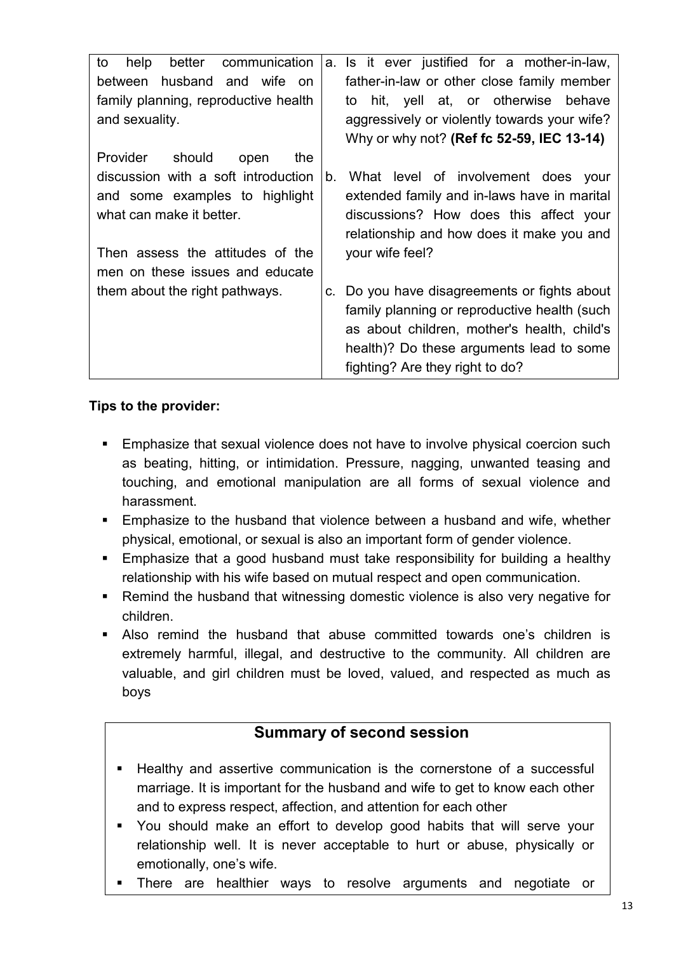| communication<br>to<br>better<br>help | a. Is it ever justified for a mother-in-law, |
|---------------------------------------|----------------------------------------------|
| husband and wife on<br>between        | father-in-law or other close family member   |
| family planning, reproductive health  | hit, yell at, or otherwise behave<br>to      |
| and sexuality.                        | aggressively or violently towards your wife? |
|                                       | Why or why not? (Ref fc 52-59, IEC 13-14)    |
| Provider<br>should<br>the<br>open     |                                              |
| discussion with a soft introduction   | What level of involvement does your<br>b.    |
| and some examples to highlight        | extended family and in-laws have in marital  |
| what can make it better.              | discussions? How does this affect your       |
|                                       | relationship and how does it make you and    |
| Then assess the attitudes of the      | your wife feel?                              |
| men on these issues and educate       |                                              |
| them about the right pathways.        | c. Do you have disagreements or fights about |
|                                       | family planning or reproductive health (such |
|                                       | as about children, mother's health, child's  |
|                                       | health)? Do these arguments lead to some     |
|                                       | fighting? Are they right to do?              |

### **Tips to the provider:**

- **Emphasize that sexual violence does not have to involve physical coercion such** as beating, hitting, or intimidation. Pressure, nagging, unwanted teasing and touching, and emotional manipulation are all forms of sexual violence and harassment.
- **Emphasize to the husband that violence between a husband and wife, whether** physical, emotional, or sexual is also an important form of gender violence.
- Emphasize that a good husband must take responsibility for building a healthy relationship with his wife based on mutual respect and open communication.
- Remind the husband that witnessing domestic violence is also very negative for children.
- Also remind the husband that abuse committed towards one's children is extremely harmful, illegal, and destructive to the community. All children are valuable, and girl children must be loved, valued, and respected as much as boys

# **Summary of second session**

- Healthy and assertive communication is the cornerstone of a successful marriage. It is important for the husband and wife to get to know each other and to express respect, affection, and attention for each other
- You should make an effort to develop good habits that will serve your relationship well. It is never acceptable to hurt or abuse, physically or emotionally, one's wife.
- There are healthier ways to resolve arguments and negotiate or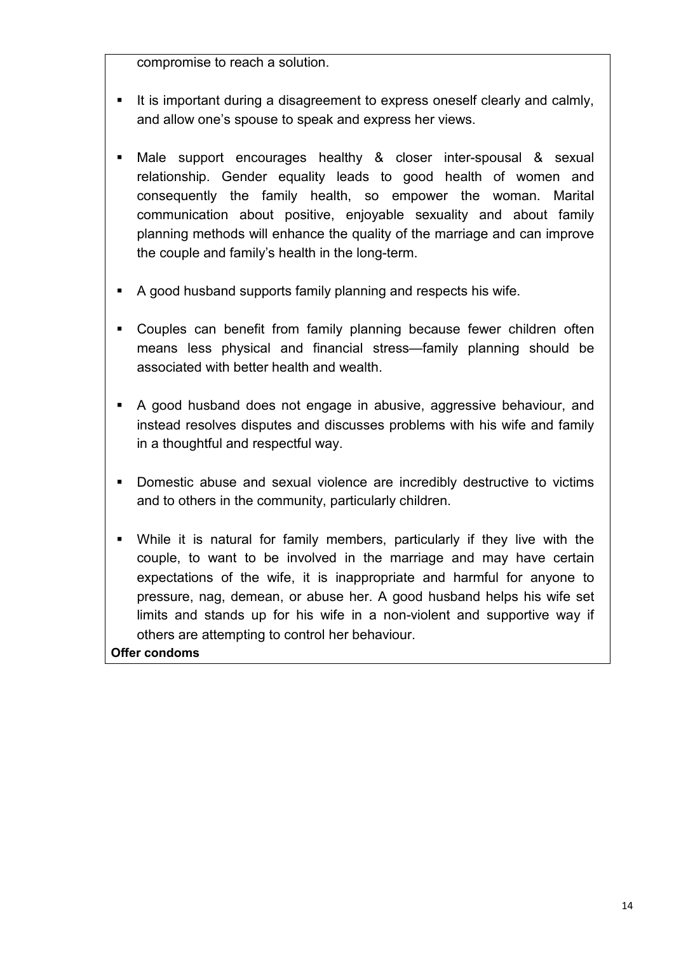compromise to reach a solution.

- It is important during a disagreement to express oneself clearly and calmly, and allow one's spouse to speak and express her views.
- Male support encourages healthy & closer inter-spousal & sexual relationship. Gender equality leads to good health of women and consequently the family health, so empower the woman. Marital communication about positive, enjoyable sexuality and about family planning methods will enhance the quality of the marriage and can improve the couple and family's health in the long-term.
- A good husband supports family planning and respects his wife.
- Couples can benefit from family planning because fewer children often means less physical and financial stress—family planning should be associated with better health and wealth.
- A good husband does not engage in abusive, aggressive behaviour, and instead resolves disputes and discusses problems with his wife and family in a thoughtful and respectful way.
- Domestic abuse and sexual violence are incredibly destructive to victims and to others in the community, particularly children.
- While it is natural for family members, particularly if they live with the couple, to want to be involved in the marriage and may have certain expectations of the wife, it is inappropriate and harmful for anyone to pressure, nag, demean, or abuse her. A good husband helps his wife set limits and stands up for his wife in a non-violent and supportive way if others are attempting to control her behaviour.

**Offer condoms**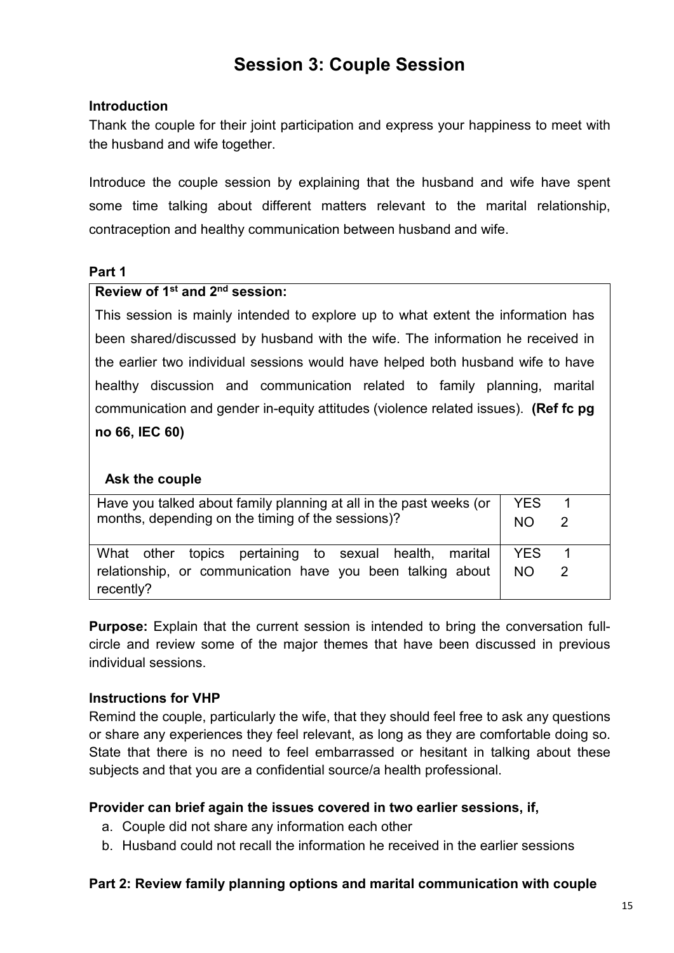# **Session 3: Couple Session**

#### **Introduction**

Thank the couple for their joint participation and express your happiness to meet with the husband and wife together.

Introduce the couple session by explaining that the husband and wife have spent some time talking about different matters relevant to the marital relationship, contraception and healthy communication between husband and wife.

#### **Part 1**

#### **Review of 1st and 2nd session:**

This session is mainly intended to explore up to what extent the information has been shared/discussed by husband with the wife. The information he received in the earlier two individual sessions would have helped both husband wife to have healthy discussion and communication related to family planning, marital communication and gender in-equity attitudes (violence related issues). **(Ref fc pg no 66, IEC 60)**

#### **Ask the couple**

| Have you talked about family planning at all in the past weeks (or<br>months, depending on the timing of the sessions)? |            | 2 |
|-------------------------------------------------------------------------------------------------------------------------|------------|---|
| What other topics pertaining to sexual health, marital                                                                  | <b>YES</b> |   |
| relationship, or communication have you been talking about<br>NO.<br>recently?                                          |            |   |

**Purpose:** Explain that the current session is intended to bring the conversation fullcircle and review some of the major themes that have been discussed in previous individual sessions.

#### **Instructions for VHP**

Remind the couple, particularly the wife, that they should feel free to ask any questions or share any experiences they feel relevant, as long as they are comfortable doing so. State that there is no need to feel embarrassed or hesitant in talking about these subjects and that you are a confidential source/a health professional.

#### **Provider can brief again the issues covered in two earlier sessions, if,**

- a. Couple did not share any information each other
- b. Husband could not recall the information he received in the earlier sessions

#### **Part 2: Review family planning options and marital communication with couple**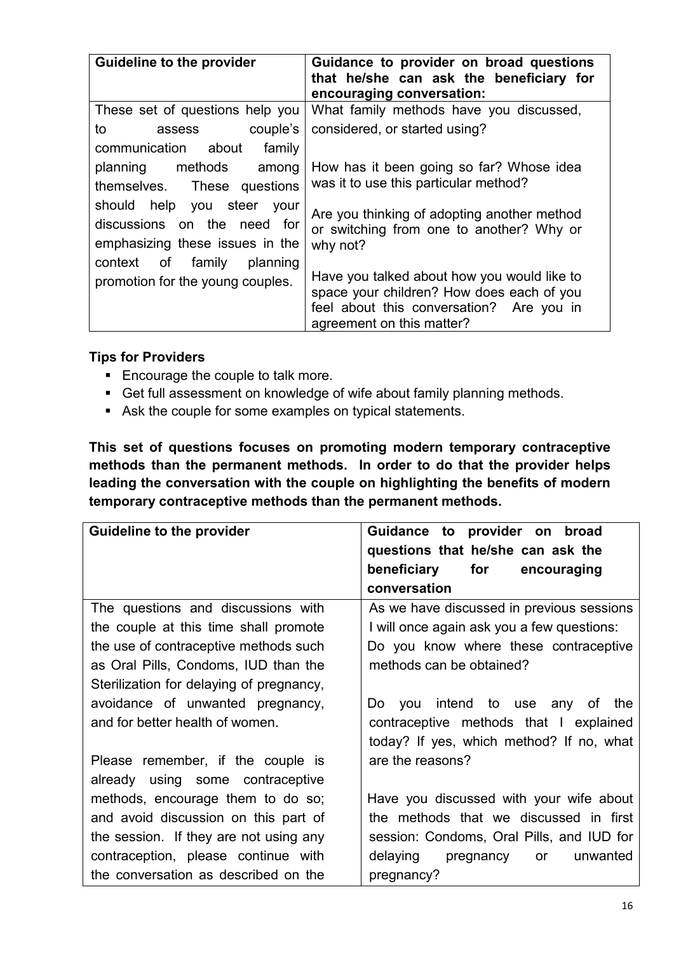| <b>Guideline to the provider</b>                                                             | Guidance to provider on broad questions<br>that he/she can ask the beneficiary for<br>encouraging conversation:                                                   |
|----------------------------------------------------------------------------------------------|-------------------------------------------------------------------------------------------------------------------------------------------------------------------|
| These set of questions help you                                                              | What family methods have you discussed,                                                                                                                           |
| to<br>couple's<br>assess                                                                     | considered, or started using?                                                                                                                                     |
| communication about family                                                                   |                                                                                                                                                                   |
| planning methods<br>among<br>themselves. These questions                                     | How has it been going so far? Whose idea<br>was it to use this particular method?                                                                                 |
| should help you steer your<br>discussions on the need for<br>emphasizing these issues in the | Are you thinking of adopting another method<br>or switching from one to another? Why or<br>why not?                                                               |
| context of family<br>planning<br>promotion for the young couples.                            | Have you talked about how you would like to<br>space your children? How does each of you<br>feel about this conversation? Are you in<br>agreement on this matter? |

#### **Tips for Providers**

- Encourage the couple to talk more.
- Get full assessment on knowledge of wife about family planning methods.
- Ask the couple for some examples on typical statements.

**This set of questions focuses on promoting modern temporary contraceptive methods than the permanent methods. In order to do that the provider helps leading the conversation with the couple on highlighting the benefits of modern temporary contraceptive methods than the permanent methods.**

| <b>Guideline to the provider</b>         | Guidance to provider on broad              |
|------------------------------------------|--------------------------------------------|
|                                          | questions that he/she can ask the          |
|                                          | beneficiary for<br>encouraging             |
|                                          | conversation                               |
| The questions and discussions with       | As we have discussed in previous sessions  |
| the couple at this time shall promote    | I will once again ask you a few questions: |
| the use of contraceptive methods such    | Do you know where these contraceptive      |
| as Oral Pills, Condoms, IUD than the     | methods can be obtained?                   |
| Sterilization for delaying of pregnancy, |                                            |
| avoidance of unwanted pregnancy,         | Do you intend to use any of the            |
| and for better health of women.          | contraceptive methods that I explained     |
|                                          | today? If yes, which method? If no, what   |
| Please remember, if the couple is        | are the reasons?                           |
| already using some contraceptive         |                                            |
| methods, encourage them to do so;        | Have you discussed with your wife about    |
| and avoid discussion on this part of     | the methods that we discussed in first     |
| the session. If they are not using any   | session: Condoms, Oral Pills, and IUD for  |
| contraception, please continue with      | delaying<br>unwanted<br>pregnancy<br>or    |
| the conversation as described on the     | pregnancy?                                 |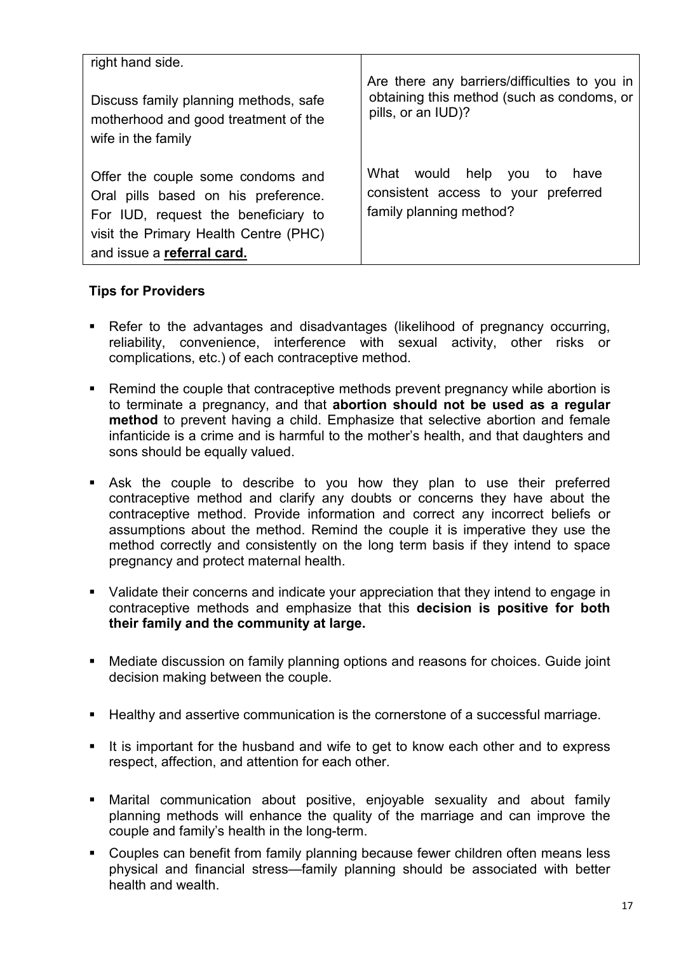| right hand side.                                                                                                                                                                       |                                                                                                                   |
|----------------------------------------------------------------------------------------------------------------------------------------------------------------------------------------|-------------------------------------------------------------------------------------------------------------------|
| Discuss family planning methods, safe<br>motherhood and good treatment of the<br>wife in the family                                                                                    | Are there any barriers/difficulties to you in<br>obtaining this method (such as condoms, or<br>pills, or an IUD)? |
| Offer the couple some condoms and<br>Oral pills based on his preference.<br>For IUD, request the beneficiary to<br>visit the Primary Health Centre (PHC)<br>and issue a referral card. | What would help you<br>to have<br>consistent access to your preferred<br>family planning method?                  |

#### **Tips for Providers**

- Refer to the advantages and disadvantages (likelihood of pregnancy occurring, reliability, convenience, interference with sexual activity, other risks or complications, etc.) of each contraceptive method.
- Remind the couple that contraceptive methods prevent pregnancy while abortion is to terminate a pregnancy, and that **abortion should not be used as a regular method** to prevent having a child. Emphasize that selective abortion and female infanticide is a crime and is harmful to the mother's health, and that daughters and sons should be equally valued.
- Ask the couple to describe to you how they plan to use their preferred contraceptive method and clarify any doubts or concerns they have about the contraceptive method. Provide information and correct any incorrect beliefs or assumptions about the method. Remind the couple it is imperative they use the method correctly and consistently on the long term basis if they intend to space pregnancy and protect maternal health.
- Validate their concerns and indicate your appreciation that they intend to engage in contraceptive methods and emphasize that this **decision is positive for both their family and the community at large.**
- Mediate discussion on family planning options and reasons for choices. Guide joint decision making between the couple.
- Healthy and assertive communication is the cornerstone of a successful marriage.
- It is important for the husband and wife to get to know each other and to express respect, affection, and attention for each other.
- Marital communication about positive, enjoyable sexuality and about family planning methods will enhance the quality of the marriage and can improve the couple and family's health in the long-term.
- Couples can benefit from family planning because fewer children often means less physical and financial stress—family planning should be associated with better health and wealth.